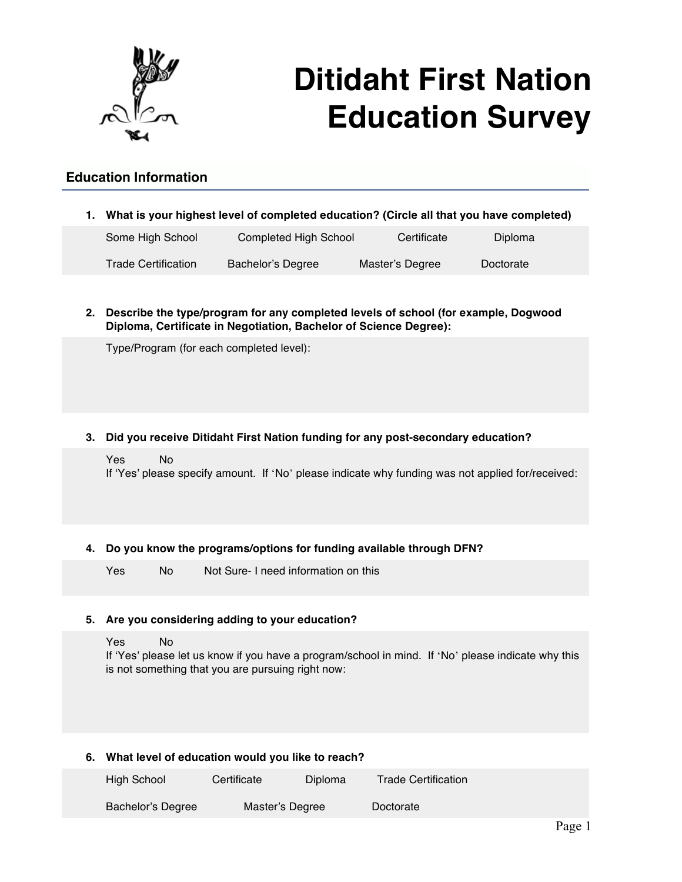

# **Ditidaht First Nation Education Survey**

# **Education Information**

**1. What is your highest level of completed education? (Circle all that you have completed)** 

| Completed High School<br>Some High School |                   | Certificate     | Diploma   |  |
|-------------------------------------------|-------------------|-----------------|-----------|--|
| <b>Trade Certification</b>                | Bachelor's Degree | Master's Degree | Doctorate |  |

**2. Describe the type/program for any completed levels of school (for example, Dogwood Diploma, Certificate in Negotiation, Bachelor of Science Degree):** 

Type/Program (for each completed level):

## **3. Did you receive Ditidaht First Nation funding for any post-secondary education?**

Yes No If 'Yes' please specify amount. If 'No' please indicate why funding was not applied for/received:

## **4. Do you know the programs/options for funding available through DFN?**

Yes No Not Sure- I need information on this

## **5. Are you considering adding to your education?**

Yes No

If 'Yes' please let us know if you have a program/school in mind. If 'No' please indicate why this is not something that you are pursuing right now:

## **6. What level of education would you like to reach?**

| High School       | Certificate     | Diploma | <b>Trade Certification</b> |  |
|-------------------|-----------------|---------|----------------------------|--|
| Bachelor's Degree | Master's Degree |         | Doctorate                  |  |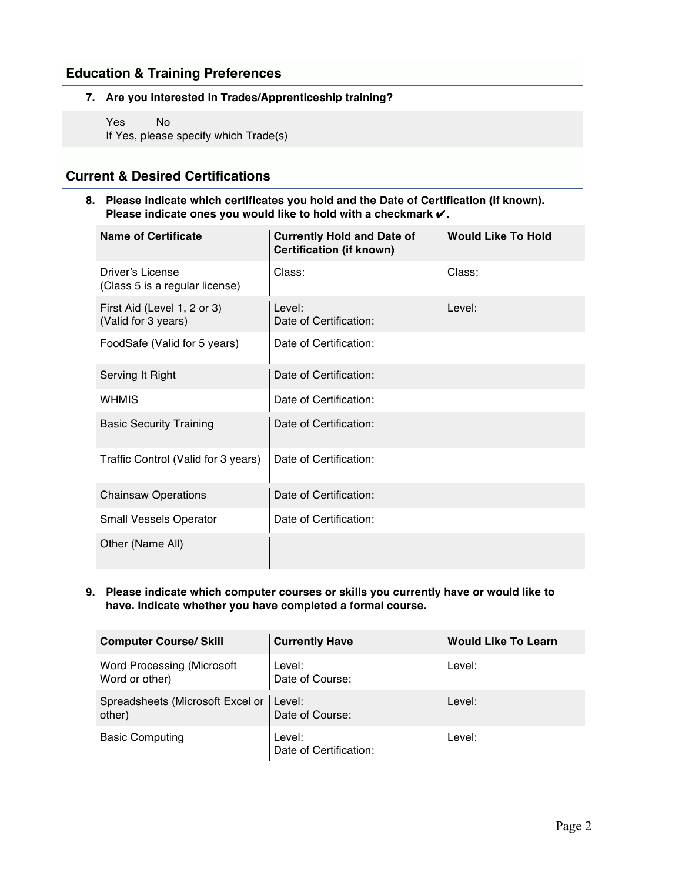## **Education & Training Preferences**

**7. Are you interested in Trades/Apprenticeship training?**

Yes No If Yes, please specify which Trade(s)

## **Current & Desired Certifications**

**8. Please indicate which certificates you hold and the Date of Certification (if known). Please indicate ones you would like to hold with a checkmark** ✔**.** 

| <b>Name of Certificate</b>                         | <b>Currently Hold and Date of</b><br><b>Certification (if known)</b> | <b>Would Like To Hold</b> |
|----------------------------------------------------|----------------------------------------------------------------------|---------------------------|
| Driver's License<br>(Class 5 is a regular license) | Class:                                                               | Class:                    |
| First Aid (Level 1, 2 or 3)<br>(Valid for 3 years) | Level:<br>Date of Certification:                                     | Level:                    |
| FoodSafe (Valid for 5 years)                       | Date of Certification:                                               |                           |
| Serving It Right                                   | Date of Certification:                                               |                           |
| <b>WHMIS</b>                                       | Date of Certification:                                               |                           |
| <b>Basic Security Training</b>                     | Date of Certification:                                               |                           |
| Traffic Control (Valid for 3 years)                | Date of Certification:                                               |                           |
| <b>Chainsaw Operations</b>                         | Date of Certification:                                               |                           |
| <b>Small Vessels Operator</b>                      | Date of Certification:                                               |                           |
| Other (Name All)                                   |                                                                      |                           |

**9. Please indicate which computer courses or skills you currently have or would like to have. Indicate whether you have completed a formal course.**

| <b>Computer Course/ Skill</b>                       | <b>Currently Have</b>            | <b>Would Like To Learn</b> |
|-----------------------------------------------------|----------------------------------|----------------------------|
| <b>Word Processing (Microsoft</b><br>Word or other) | Level:<br>Date of Course:        | Level:                     |
| Spreadsheets (Microsoft Excel or<br>other)          | Level:<br>Date of Course:        | Level:                     |
| <b>Basic Computing</b>                              | Level:<br>Date of Certification: | Level:                     |